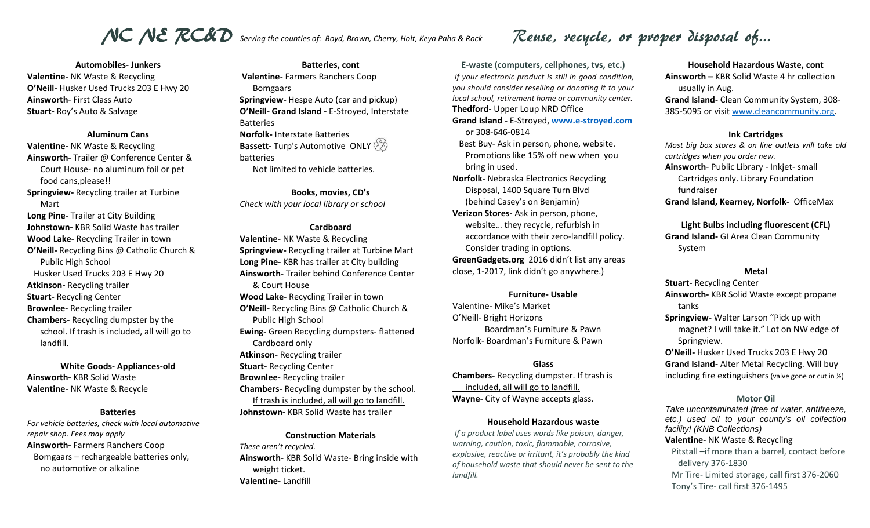# NC NE RC&D serving the counties of: Boyd, Brown, Cherry, Holt, Keya Paha & Rock Reuse, recycle, or proper disposal of...

**Automobiles- Junkers Valentine-** NK Waste & Recycling **O'Neill-** Husker Used Trucks 203 E Hwy 20 **Ainsworth**- First Class Auto **Stuart-** Roy's Auto & Salvage

#### **Aluminum Cans**

**Valentine-** NK Waste & Recycling **Ainsworth-** Trailer @ Conference Center & Court House- no aluminum foil or pet food cans,please!! **Springview-** Recycling trailer at Turbine Mart **Long Pine-** Trailer at City Building **Johnstown-** KBR Solid Waste has trailer **Wood Lake-** Recycling Trailer in town **O'Neill-** Recycling Bins @ Catholic Church & Public High School Husker Used Trucks 203 E Hwy 20 **Atkinson-** Recycling trailer **Stuart-** Recycling Center **Brownlee-** Recycling trailer **Chambers-** Recycling dumpster by the school. If trash is included, all will go to landfill.

**White Goods- Appliances-old Ainsworth-** KBR Solid Waste **Valentine-** NK Waste & Recycle

#### **Batteries**

*For vehicle batteries, check with local automotive repair shop. Fees may apply* **Ainsworth-** Farmers Ranchers Coop Bomgaars – rechargeable batteries only, no automotive or alkaline

**Batteries, cont Valentine-** Farmers Ranchers Coop Bomgaars **Springview-** Hespe Auto (car and pickup) **O'Neill- Grand Island -** E-Stroyed, Interstate Batteries **Norfolk-** Interstate Batteries **Bassett-** Turp's Automotive ONLY batteries Not limited to vehicle batteries.

**Books, movies, CD's** *Check with your local library or school*

### **Cardboard**

**Valentine-** NK Waste & Recycling **Springview-** Recycling trailer at Turbine Mart **Long Pine-** KBR has trailer at City building **Ainsworth-** Trailer behind Conference Center & Court House **Wood Lake-** Recycling Trailer in town **O'Neill-** Recycling Bins @ Catholic Church & Public High School **Ewing-** Green Recycling dumpsters- flattened Cardboard only **Atkinson-** Recycling trailer **Stuart-** Recycling Center **Brownlee-** Recycling trailer **Chambers-** Recycling dumpster by the school. If trash is included, all will go to landfill. **Johnstown-** KBR Solid Waste has trailer

**Construction Materials** *These aren't recycled.*  **Ainsworth-** KBR Solid Waste- Bring inside with weight ticket. **Valentine-** Landfill

**E-waste (computers, cellphones, tvs, etc.)** *If your electronic product is still in good condition, you should consider reselling or donating it to your local school, retirement home or community center.* **Thedford-** Upper Loup NRD Office **Grand Island -** E-Stroyed, **[www.e-stroyed.com](http://www.e-stroyed.com/)** or 308-646-0814 Best Buy- Ask in person, phone, website. Promotions like 15% off new when you bring in used. **Norfolk-** Nebraska Electronics Recycling Disposal, 1400 Square Turn Blvd (behind Casey's on Benjamin) **Verizon Stores-** Ask in person, phone, website… they recycle, refurbish in accordance with their zero-landfill policy. Consider trading in options.

**GreenGadgets.org** 2016 didn't list any areas close, 1-2017, link didn't go anywhere.)

#### **Furniture- Usable**

Valentine- Mike's Market O'Neill- Bright Horizons Boardman's Furniture & Pawn Norfolk- Boardman's Furniture & Pawn

### **Glass**

**Chambers-** Recycling dumpster. If trash is included, all will go to landfill. **Wayne-** City of Wayne accepts glass.

### **Household Hazardous waste**

*If a product label uses words like poison, danger, warning, caution, toxic, flammable, corrosive, explosive, reactive or irritant, it's probably the kind of household waste that should never be sent to the landfill.*

**Household Hazardous Waste, cont Ainsworth –** KBR Solid Waste 4 hr collection usually in Aug. **Grand Island-** Clean Community System, 308- 385-5095 or visit [www.cleancommunity.org.](http://www.cleancommunity.org/)

#### **Ink Cartridges**

*Most big box stores & on line outlets will take old cartridges when you order new.* **Ainsworth**- Public Library - Inkjet- small Cartridges only. Library Foundation fundraiser **Grand Island, Kearney, Norfolk-** OfficeMax

**Light Bulbs including fluorescent (CFL) Grand Island-** GI Area Clean Community System

#### **Metal**

**Stuart-** Recycling Center **Ainsworth-** KBR Solid Waste except propane tanks **Springview-** Walter Larson "Pick up with magnet? I will take it." Lot on NW edge of Springview. **O'Neill-** Husker Used Trucks 203 E Hwy 20 **Grand Island-** Alter Metal Recycling. Will buy

including fire extinguishers (valve gone or cut in  $\frac{1}{2}$ )

### **Motor Oil**

*Take uncontaminated (free of water, antifreeze, etc.) used oil to your county's oil collection facility! (KNB Collections)* **Valentine-** NK Waste & Recycling Pitstall –if more than a barrel, contact before delivery 376-1830 Mr Tire- Limited storage, call first 376-2060 Tony's Tire- call first 376-1495